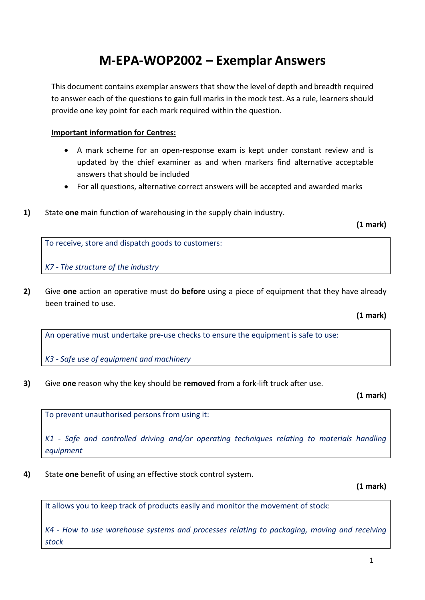# **M-EPA-WOP2002 – Exemplar Answers**

This document contains exemplar answers that show the level of depth and breadth required to answer each of the questions to gain full marks in the mock test. As a rule, learners should provide one key point for each mark required within the question.

## **Important information for Centres:**

- A mark scheme for an open-response exam is kept under constant review and is updated by the chief examiner as and when markers find alternative acceptable answers that should be included
- For all questions, alternative correct answers will be accepted and awarded marks
- **1)** State **one** main function of warehousing in the supply chain industry.

**(1 mark)**

To receive, store and dispatch goods to customers:

*K7 - The structure of the industry*

**2)** Give **one** action an operative must do **before** using a piece of equipment that they have already been trained to use.

**(1 mark)**

An operative must undertake pre-use checks to ensure the equipment is safe to use:

*K3 - Safe use of equipment and machinery*

**3)** Give **one** reason why the key should be **removed** from a fork-lift truck after use.

**(1 mark)**

To prevent unauthorised persons from using it:

*K1 - Safe and controlled driving and/or operating techniques relating to materials handling equipment*

**4)** State **one** benefit of using an effective stock control system.

**(1 mark)**

It allows you to keep track of products easily and monitor the movement of stock:

*K4 - How to use warehouse systems and processes relating to packaging, moving and receiving stock*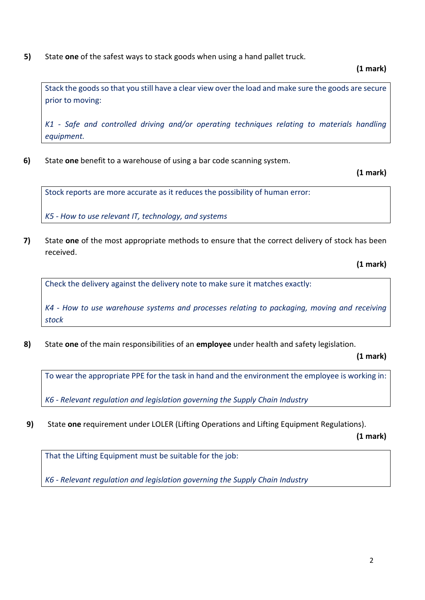# **5)** State **one** of the safest ways to stack goods when using a hand pallet truck.

#### **(1 mark)**

Stack the goods so that you still have a clear view over the load and make sure the goods are secure prior to moving:

*K1 - Safe and controlled driving and/or operating techniques relating to materials handling equipment.*

**6)** State **one** benefit to a warehouse of using a bar code scanning system.

**(1 mark)**

Stock reports are more accurate as it reduces the possibility of human error:

*K5 - How to use relevant IT, technology, and systems*

**7)** State **one** of the most appropriate methods to ensure that the correct delivery of stock has been received.

**(1 mark)**

Check the delivery against the delivery note to make sure it matches exactly:

*K4 - How to use warehouse systems and processes relating to packaging, moving and receiving stock*

**8)** State **one** of the main responsibilities of an **employee** under health and safety legislation.

**(1 mark)**

To wear the appropriate PPE for the task in hand and the environment the employee is working in:

*K6 - Relevant regulation and legislation governing the Supply Chain Industry*

**9)** State **one** requirement under LOLER (Lifting Operations and Lifting Equipment Regulations).

**(1 mark)**

That the Lifting Equipment must be suitable for the job:

*K6 - Relevant regulation and legislation governing the Supply Chain Industry*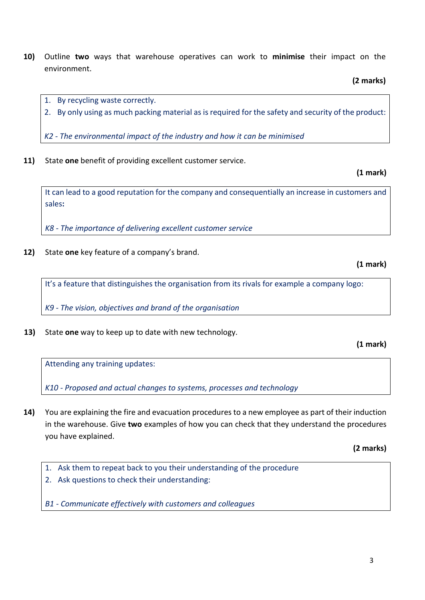- **10)** Outline **two** ways that warehouse operatives can work to **minimise** their impact on the environment.
	- 1. By recycling waste correctly.
	- 2. By only using as much packing material as is required for the safety and security of the product:

*K2 - The environmental impact of the industry and how it can be minimised*

**11)** State **one** benefit of providing excellent customer service.

It can lead to a good reputation for the company and consequentially an increase in customers and sales**:**

*K8 - The importance of delivering excellent customer service*

**12)** State **one** key feature of a company's brand.

**(1 mark)**

**(1 mark)**

It's a feature that distinguishes the organisation from its rivals for example a company logo:

*K9 - The vision, objectives and brand of the organisation*

**13)** State **one** way to keep up to date with new technology.

**(1 mark)**

Attending any training updates:

*K10 - Proposed and actual changes to systems, processes and technology*

**14)** You are explaining the fire and evacuation procedures to a new employee as part of their induction in the warehouse. Give **two** examples of how you can check that they understand the procedures you have explained.

**(2 marks)**

- 1. Ask them to repeat back to you their understanding of the procedure
- 2. Ask questions to check their understanding:

*B1 - Communicate effectively with customers and colleagues*

**(2 marks)**